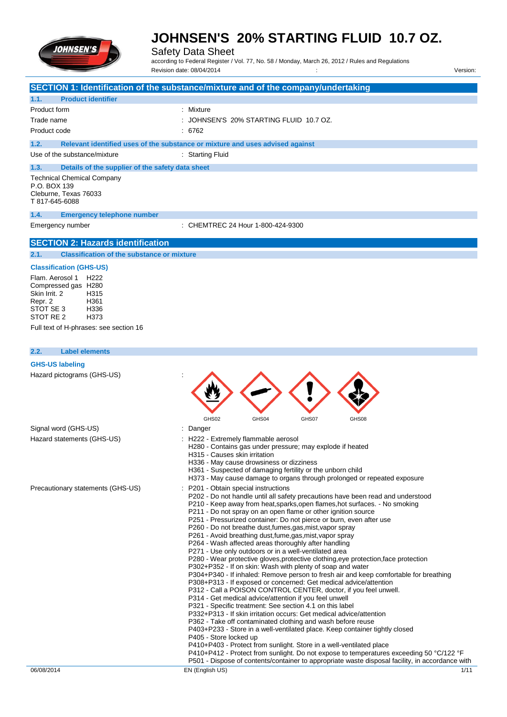

Safety Data Sheet

according to Federal Register / Vol. 77, No. 58 / Monday, March 26, 2012 / Rules and Regulations Revision date: 08/04/2014 Version: Version: Version: Version: Version: Version: Version:

|                                                                                               | SECTION 1: Identification of the substance/mixture and of the company/undertaking                                                            |
|-----------------------------------------------------------------------------------------------|----------------------------------------------------------------------------------------------------------------------------------------------|
| <b>Product identifier</b><br>1.1.                                                             |                                                                                                                                              |
| Product form                                                                                  | : Mixture                                                                                                                                    |
| Trade name                                                                                    | : JOHNSEN'S 20% STARTING FLUID 10.7 OZ.                                                                                                      |
| Product code                                                                                  | : 6762                                                                                                                                       |
| 1.2.                                                                                          | Relevant identified uses of the substance or mixture and uses advised against                                                                |
| Use of the substance/mixture                                                                  | : Starting Fluid                                                                                                                             |
|                                                                                               |                                                                                                                                              |
| 1.3.<br>Details of the supplier of the safety data sheet<br><b>Technical Chemical Company</b> |                                                                                                                                              |
| P.O. BOX 139                                                                                  |                                                                                                                                              |
| Cleburne, Texas 76033                                                                         |                                                                                                                                              |
| T 817-645-6088                                                                                |                                                                                                                                              |
| 1.4.<br><b>Emergency telephone number</b>                                                     |                                                                                                                                              |
| Emergency number                                                                              | CHEMTREC 24 Hour 1-800-424-9300                                                                                                              |
|                                                                                               |                                                                                                                                              |
| <b>SECTION 2: Hazards identification</b>                                                      |                                                                                                                                              |
| <b>Classification of the substance or mixture</b><br>2.1.                                     |                                                                                                                                              |
| <b>Classification (GHS-US)</b>                                                                |                                                                                                                                              |
| Flam. Aerosol 1<br>H222                                                                       |                                                                                                                                              |
| Compressed gas H280<br>Skin Irrit. 2<br>H315                                                  |                                                                                                                                              |
| Repr. 2<br>H361                                                                               |                                                                                                                                              |
| STOT SE 3<br>H336                                                                             |                                                                                                                                              |
| STOT RE 2<br>H <sub>3</sub> 73                                                                |                                                                                                                                              |
| Full text of H-phrases: see section 16                                                        |                                                                                                                                              |
|                                                                                               |                                                                                                                                              |
| 2.2.<br><b>Label elements</b>                                                                 |                                                                                                                                              |
| <b>GHS-US labeling</b>                                                                        |                                                                                                                                              |
| Hazard pictograms (GHS-US)                                                                    |                                                                                                                                              |
|                                                                                               |                                                                                                                                              |
|                                                                                               |                                                                                                                                              |
|                                                                                               |                                                                                                                                              |
|                                                                                               | GHS02<br>GHS04<br>GHS07<br>GHS08                                                                                                             |
| Signal word (GHS-US)                                                                          | Danger                                                                                                                                       |
| Hazard statements (GHS-US)                                                                    | : H222 - Extremely flammable aerosol                                                                                                         |
|                                                                                               | H280 - Contains gas under pressure; may explode if heated                                                                                    |
|                                                                                               | H315 - Causes skin irritation                                                                                                                |
|                                                                                               | H336 - May cause drowsiness or dizziness                                                                                                     |
|                                                                                               | H361 - Suspected of damaging fertility or the unborn child<br>H373 - May cause damage to organs through prolonged or repeated exposure       |
| Precautionary statements (GHS-US)                                                             | P201 - Obtain special instructions                                                                                                           |
|                                                                                               | P202 - Do not handle until all safety precautions have been read and understood                                                              |
|                                                                                               | P210 - Keep away from heat, sparks, open flames, hot surfaces. - No smoking                                                                  |
|                                                                                               | P211 - Do not spray on an open flame or other ignition source<br>P251 - Pressurized container: Do not pierce or burn, even after use         |
|                                                                                               | P260 - Do not breathe dust, fumes, gas, mist, vapor spray                                                                                    |
|                                                                                               | P261 - Avoid breathing dust, fume, gas, mist, vapor spray                                                                                    |
|                                                                                               | P264 - Wash affected areas thoroughly after handling                                                                                         |
|                                                                                               | P271 - Use only outdoors or in a well-ventilated area<br>P280 - Wear protective gloves, protective clothing, eye protection, face protection |
|                                                                                               | P302+P352 - If on skin: Wash with plenty of soap and water                                                                                   |
|                                                                                               | P304+P340 - If inhaled: Remove person to fresh air and keep comfortable for breathing                                                        |
|                                                                                               | P308+P313 - If exposed or concerned: Get medical advice/attention                                                                            |
|                                                                                               | P312 - Call a POISON CONTROL CENTER, doctor, if you feel unwell.<br>P314 - Get medical advice/attention if you feel unwell                   |
|                                                                                               | P321 - Specific treatment: See section 4.1 on this label                                                                                     |
|                                                                                               | P332+P313 - If skin irritation occurs: Get medical advice/attention                                                                          |
|                                                                                               | P362 - Take off contaminated clothing and wash before reuse<br>P403+P233 - Store in a well-ventilated place. Keep container tightly closed   |
|                                                                                               | P405 - Store locked up                                                                                                                       |
|                                                                                               | P410+P403 - Protect from sunlight. Store in a well-ventilated place                                                                          |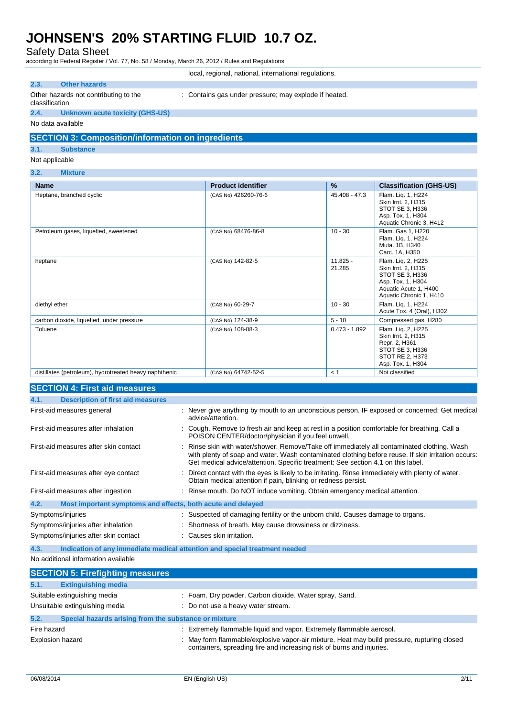Safety Data Sheet

according to Federal Register / Vol. 77, No. 58 / Monday, March 26, 2012 / Rules and Regulations

|                                       | local, regional, national, international regulations. |
|---------------------------------------|-------------------------------------------------------|
| <b>Other hazards</b>                  |                                                       |
| Other hazards not contributing to the | : Contains gas under pressure; may explode if heated. |

#### classification

: Contains gas under pressure; may explode if heated.

**2.4. Unknown acute toxicity (GHS-US)**

No data available

### **SECTION 3: Composition/information on ingredients**

#### **3.1. Substance**

- Not applicable
- **3.2. Mixture**

| <b>Name</b>                                            | <b>Product identifier</b> | %                    | <b>Classification (GHS-US)</b>                                                                                                        |
|--------------------------------------------------------|---------------------------|----------------------|---------------------------------------------------------------------------------------------------------------------------------------|
| Heptane, branched cyclic                               | (CAS No) 426260-76-6      | 45.408 - 47.3        | Flam. Lig. 1, H224<br>Skin Irrit. 2, H315<br>STOT SE 3, H336<br>Asp. Tox. 1, H304<br>Aquatic Chronic 3, H412                          |
| Petroleum gases, liquefied, sweetened                  | (CAS No) 68476-86-8       | $10 - 30$            | Flam. Gas 1, H220<br>Flam. Liq. 1, H224<br>Muta. 1B, H340<br>Carc. 1A, H350                                                           |
| heptane                                                | (CAS No) 142-82-5         | $11.825 -$<br>21.285 | Flam. Lig. 2, H225<br>Skin Irrit. 2, H315<br>STOT SE 3, H336<br>Asp. Tox. 1, H304<br>Aquatic Acute 1, H400<br>Aquatic Chronic 1, H410 |
| diethyl ether                                          | (CAS No) 60-29-7          | $10 - 30$            | Flam. Lig. 1, H224<br>Acute Tox. 4 (Oral), H302                                                                                       |
| carbon dioxide, liquefied, under pressure              | (CAS No) 124-38-9         | $5 - 10$             | Compressed gas, H280                                                                                                                  |
| Toluene                                                | (CAS No) 108-88-3         | $0.473 - 1.892$      | Flam. Lig. 2, H225<br>Skin Irrit. 2, H315<br>Repr. 2, H361<br>STOT SE 3, H336<br>STOT RE 2, H373<br>Asp. Tox. 1, H304                 |
| distillates (petroleum), hydrotreated heavy naphthenic | (CAS No) 64742-52-5       | < 1                  | Not classified                                                                                                                        |

| <b>SECTION 4: First aid measures</b>                                |                                                                                                                                                                                                                                                                                       |
|---------------------------------------------------------------------|---------------------------------------------------------------------------------------------------------------------------------------------------------------------------------------------------------------------------------------------------------------------------------------|
| <b>Description of first aid measures</b><br>4.1.                    |                                                                                                                                                                                                                                                                                       |
| First-aid measures general                                          | : Never give anything by mouth to an unconscious person. IF exposed or concerned: Get medical<br>advice/attention.                                                                                                                                                                    |
| First-aid measures after inhalation                                 | : Cough. Remove to fresh air and keep at rest in a position comfortable for breathing. Call a<br>POISON CENTER/doctor/physician if you feel unwell.                                                                                                                                   |
| First-aid measures after skin contact                               | : Rinse skin with water/shower. Remove/Take off immediately all contaminated clothing. Wash<br>with plenty of soap and water. Wash contaminated clothing before reuse. If skin irritation occurs:<br>Get medical advice/attention. Specific treatment: See section 4.1 on this label. |
| First-aid measures after eye contact                                | Direct contact with the eyes is likely to be irritating. Rinse immediately with plenty of water.<br>Obtain medical attention if pain, blinking or redness persist.                                                                                                                    |
| First-aid measures after ingestion                                  | : Rinse mouth. Do NOT induce vomiting. Obtain emergency medical attention.                                                                                                                                                                                                            |
| 4.2.<br>Most important symptoms and effects, both acute and delayed |                                                                                                                                                                                                                                                                                       |
| Symptoms/injuries                                                   | : Suspected of damaging fertility or the unborn child. Causes damage to organs.                                                                                                                                                                                                       |
| Symptoms/injuries after inhalation                                  | Shortness of breath. May cause drowsiness or dizziness.                                                                                                                                                                                                                               |
| Symptoms/injuries after skin contact                                | : Causes skin irritation.                                                                                                                                                                                                                                                             |
| 4.3.                                                                | Indication of any immediate medical attention and special treatment needed                                                                                                                                                                                                            |
| No additional information available                                 |                                                                                                                                                                                                                                                                                       |

|                         | <b>SECTION 5: Firefighting measures</b>               |                                                                                                                                                                      |
|-------------------------|-------------------------------------------------------|----------------------------------------------------------------------------------------------------------------------------------------------------------------------|
| 5.1.                    | <b>Extinguishing media</b>                            |                                                                                                                                                                      |
|                         | Suitable extinguishing media                          | : Foam. Dry powder. Carbon dioxide. Water spray. Sand.                                                                                                               |
|                         | Unsuitable extinguishing media                        | : Do not use a heavy water stream.                                                                                                                                   |
| 5.2.                    | Special hazards arising from the substance or mixture |                                                                                                                                                                      |
| Fire hazard             |                                                       | Extremely flammable liquid and vapor. Extremely flammable aerosol.                                                                                                   |
| <b>Explosion hazard</b> |                                                       | : May form flammable/explosive vapor-air mixture. Heat may build pressure, rupturing closed<br>containers, spreading fire and increasing risk of burns and injuries. |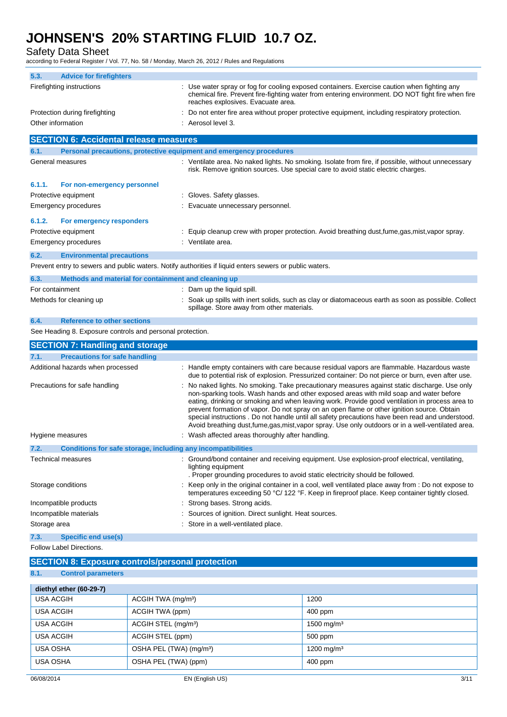Safety Data Sheet

according to Federal Register / Vol. 77, No. 58 / Monday, March 26, 2012 / Rules and Regulations

| 5.3.<br><b>Advice for firefighters</b>                       |                                |                                                                                                         |                                                                                                                                                                                                                                                                                                                                                                                                                                                                                                                                                                                                    |
|--------------------------------------------------------------|--------------------------------|---------------------------------------------------------------------------------------------------------|----------------------------------------------------------------------------------------------------------------------------------------------------------------------------------------------------------------------------------------------------------------------------------------------------------------------------------------------------------------------------------------------------------------------------------------------------------------------------------------------------------------------------------------------------------------------------------------------------|
| Firefighting instructions                                    |                                | reaches explosives. Evacuate area.                                                                      | : Use water spray or fog for cooling exposed containers. Exercise caution when fighting any<br>chemical fire. Prevent fire-fighting water from entering environment. DO NOT fight fire when fire                                                                                                                                                                                                                                                                                                                                                                                                   |
| Protection during firefighting                               |                                |                                                                                                         | : Do not enter fire area without proper protective equipment, including respiratory protection.                                                                                                                                                                                                                                                                                                                                                                                                                                                                                                    |
| Other information                                            |                                | : Aerosol level 3.                                                                                      |                                                                                                                                                                                                                                                                                                                                                                                                                                                                                                                                                                                                    |
| <b>SECTION 6: Accidental release measures</b>                |                                |                                                                                                         |                                                                                                                                                                                                                                                                                                                                                                                                                                                                                                                                                                                                    |
| 6.1.                                                         |                                | Personal precautions, protective equipment and emergency procedures                                     |                                                                                                                                                                                                                                                                                                                                                                                                                                                                                                                                                                                                    |
| General measures                                             |                                |                                                                                                         | : Ventilate area. No naked lights. No smoking. Isolate from fire, if possible, without unnecessary<br>risk. Remove ignition sources. Use special care to avoid static electric charges.                                                                                                                                                                                                                                                                                                                                                                                                            |
| 6.1.1.<br>For non-emergency personnel                        |                                |                                                                                                         |                                                                                                                                                                                                                                                                                                                                                                                                                                                                                                                                                                                                    |
| Protective equipment                                         |                                | : Gloves. Safety glasses.                                                                               |                                                                                                                                                                                                                                                                                                                                                                                                                                                                                                                                                                                                    |
| Emergency procedures                                         |                                | Evacuate unnecessary personnel.                                                                         |                                                                                                                                                                                                                                                                                                                                                                                                                                                                                                                                                                                                    |
| 6.1.2.<br>For emergency responders                           |                                |                                                                                                         |                                                                                                                                                                                                                                                                                                                                                                                                                                                                                                                                                                                                    |
| Protective equipment                                         |                                |                                                                                                         | : Equip cleanup crew with proper protection. Avoid breathing dust,fume,gas,mist,vapor spray.                                                                                                                                                                                                                                                                                                                                                                                                                                                                                                       |
| Emergency procedures                                         |                                | : Ventilate area.                                                                                       |                                                                                                                                                                                                                                                                                                                                                                                                                                                                                                                                                                                                    |
| 6.2.<br><b>Environmental precautions</b>                     |                                |                                                                                                         |                                                                                                                                                                                                                                                                                                                                                                                                                                                                                                                                                                                                    |
|                                                              |                                | Prevent entry to sewers and public waters. Notify authorities if liquid enters sewers or public waters. |                                                                                                                                                                                                                                                                                                                                                                                                                                                                                                                                                                                                    |
| 6.3.<br>Methods and material for containment and cleaning up |                                |                                                                                                         |                                                                                                                                                                                                                                                                                                                                                                                                                                                                                                                                                                                                    |
| For containment                                              |                                | : Dam up the liquid spill.                                                                              |                                                                                                                                                                                                                                                                                                                                                                                                                                                                                                                                                                                                    |
| Methods for cleaning up                                      |                                | spillage. Store away from other materials.                                                              | Soak up spills with inert solids, such as clay or diatomaceous earth as soon as possible. Collect                                                                                                                                                                                                                                                                                                                                                                                                                                                                                                  |
| 6.4.<br><b>Reference to other sections</b>                   |                                |                                                                                                         |                                                                                                                                                                                                                                                                                                                                                                                                                                                                                                                                                                                                    |
| See Heading 8. Exposure controls and personal protection.    |                                |                                                                                                         |                                                                                                                                                                                                                                                                                                                                                                                                                                                                                                                                                                                                    |
|                                                              |                                |                                                                                                         |                                                                                                                                                                                                                                                                                                                                                                                                                                                                                                                                                                                                    |
| <b>SECTION 7: Handling and storage</b>                       |                                |                                                                                                         |                                                                                                                                                                                                                                                                                                                                                                                                                                                                                                                                                                                                    |
| 7.1.<br><b>Precautions for safe handling</b>                 |                                |                                                                                                         |                                                                                                                                                                                                                                                                                                                                                                                                                                                                                                                                                                                                    |
| Additional hazards when processed                            |                                |                                                                                                         | : Handle empty containers with care because residual vapors are flammable. Hazardous waste<br>due to potential risk of explosion. Pressurized container: Do not pierce or burn, even after use.                                                                                                                                                                                                                                                                                                                                                                                                    |
| Precautions for safe handling                                |                                |                                                                                                         | : No naked lights. No smoking. Take precautionary measures against static discharge. Use only<br>non-sparking tools. Wash hands and other exposed areas with mild soap and water before<br>eating, drinking or smoking and when leaving work. Provide good ventilation in process area to<br>prevent formation of vapor. Do not spray on an open flame or other ignition source. Obtain<br>special instructions . Do not handle until all safety precautions have been read and understood.<br>Avoid breathing dust, fume, gas, mist, vapor spray. Use only outdoors or in a well-ventilated area. |
| Hygiene measures                                             |                                | : Wash affected areas thoroughly after handling.                                                        |                                                                                                                                                                                                                                                                                                                                                                                                                                                                                                                                                                                                    |
| Conditions for safe storage, including any incompatibilities |                                |                                                                                                         |                                                                                                                                                                                                                                                                                                                                                                                                                                                                                                                                                                                                    |
| <b>Technical measures</b>                                    |                                | lighting equipment<br>. Proper grounding procedures to avoid static electricity should be followed.     | : Ground/bond container and receiving equipment. Use explosion-proof electrical, ventilating,                                                                                                                                                                                                                                                                                                                                                                                                                                                                                                      |
| Storage conditions                                           |                                |                                                                                                         | : Keep only in the original container in a cool, well ventilated place away from : Do not expose to<br>temperatures exceeding 50 °C/ 122 °F. Keep in fireproof place. Keep container tightly closed.                                                                                                                                                                                                                                                                                                                                                                                               |
| Incompatible products                                        |                                | : Strong bases. Strong acids.                                                                           |                                                                                                                                                                                                                                                                                                                                                                                                                                                                                                                                                                                                    |
| Incompatible materials                                       |                                | Sources of ignition. Direct sunlight. Heat sources.                                                     |                                                                                                                                                                                                                                                                                                                                                                                                                                                                                                                                                                                                    |
| Storage area                                                 |                                | : Store in a well-ventilated place.                                                                     |                                                                                                                                                                                                                                                                                                                                                                                                                                                                                                                                                                                                    |
| 7.3.<br>Specific end use(s)                                  |                                |                                                                                                         |                                                                                                                                                                                                                                                                                                                                                                                                                                                                                                                                                                                                    |
| Follow Label Directions.                                     |                                |                                                                                                         |                                                                                                                                                                                                                                                                                                                                                                                                                                                                                                                                                                                                    |
| <b>SECTION 8: Exposure controls/personal protection</b>      |                                |                                                                                                         |                                                                                                                                                                                                                                                                                                                                                                                                                                                                                                                                                                                                    |
| 8.1.<br><b>Control parameters</b>                            |                                |                                                                                                         |                                                                                                                                                                                                                                                                                                                                                                                                                                                                                                                                                                                                    |
| diethyl ether (60-29-7)                                      |                                |                                                                                                         |                                                                                                                                                                                                                                                                                                                                                                                                                                                                                                                                                                                                    |
| <b>USA ACGIH</b>                                             | ACGIH TWA (mg/m <sup>3</sup> ) |                                                                                                         | 1200                                                                                                                                                                                                                                                                                                                                                                                                                                                                                                                                                                                               |
| <b>USA ACGIH</b>                                             | ACGIH TWA (ppm)                |                                                                                                         | 400 ppm                                                                                                                                                                                                                                                                                                                                                                                                                                                                                                                                                                                            |

USA ACGIH ACGIH STEL (ppm) 500 ppm USA OSHA **DEL (TWA)** (mg/m<sup>3</sup>) 1200 mg/m<sup>3</sup> USA OSHA **DEL (TWA)** (ppm) 400 ppm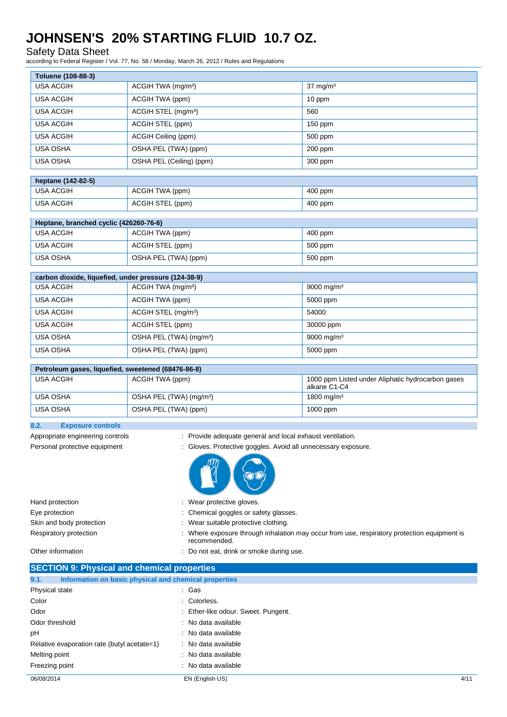Safety Data Sheet

**Toluene (108-88-3)**

according to Federal Register / Vol. 77, No. 58 / Monday, March 26, 2012 / Rules and Regulations

| Toluene (108-88-3) |                                 |                     |
|--------------------|---------------------------------|---------------------|
| <b>USA ACGIH</b>   | ACGIH TWA (mg/m <sup>3</sup> )  | $37 \text{ mg/m}^3$ |
| <b>USA ACGIH</b>   | ACGIH TWA (ppm)                 | 10 ppm              |
| <b>USA ACGIH</b>   | ACGIH STEL (mg/m <sup>3</sup> ) | 560                 |
| <b>USA ACGIH</b>   | ACGIH STEL (ppm)                | $150$ ppm           |
| <b>USA ACGIH</b>   | ACGIH Ceiling (ppm)             | 500 ppm             |
| <b>USA OSHA</b>    | OSHA PEL (TWA) (ppm)            | $200$ ppm           |
| <b>USA OSHA</b>    | OSHA PEL (Ceiling) (ppm)        | 300 ppm             |
|                    |                                 |                     |
| heptane (142-82-5) |                                 |                     |
| <b>USA ACGIH</b>   | ACGIH TWA (ppm)                 | 400 ppm             |
| <b>USA ACGIH</b>   | ACGIH STEL (ppm)                | 400 ppm             |

| Heptane, branched cyclic (426260-76-6) |                      |         |  |
|----------------------------------------|----------------------|---------|--|
| USA ACGIH                              | ACGIH TWA (ppm)      | 400 ppm |  |
| USA ACGIH                              | ACGIH STEL (ppm)     | 500 ppm |  |
| USA OSHA                               | OSHA PEL (TWA) (ppm) | 500 ppm |  |

| carbon dioxide, liquefied, under pressure (124-38-9) |                                     |                        |  |  |
|------------------------------------------------------|-------------------------------------|------------------------|--|--|
| USA ACGIH                                            | ACGIH TWA (mg/m <sup>3</sup> )      | 9000 mg/m <sup>3</sup> |  |  |
| USA ACGIH                                            | ACGIH TWA (ppm)                     | 5000 ppm               |  |  |
| <b>USA ACGIH</b>                                     | ACGIH STEL (mg/m <sup>3</sup> )     | 54000                  |  |  |
| <b>USA ACGIH</b>                                     | ACGIH STEL (ppm)                    | 30000 ppm              |  |  |
| <b>USA OSHA</b>                                      | OSHA PEL (TWA) (mg/m <sup>3</sup> ) | 9000 mg/m <sup>3</sup> |  |  |
| <b>USA OSHA</b>                                      | OSHA PEL (TWA) (ppm)                | 5000 ppm               |  |  |

### **Petroleum gases, liquefied, sweetened (68476-86-8)**

| USA ACGIH | ACGIH TWA (ppm)                     | 1000 ppm Listed under Aliphatic hydrocarbon gases<br>alkane C1-C4 |
|-----------|-------------------------------------|-------------------------------------------------------------------|
| USA OSHA  | OSHA PEL (TWA) (mg/m <sup>3</sup> ) | 1800 mg/m <sup>3</sup>                                            |
| USA OSHA  | OSHA PEL (TWA) (ppm)                | $1000$ ppm                                                        |

### **8.2. Exposure controls**

- Appropriate engineering controls : Provide adequate general and local exhaust ventilation.
- Personal protective equipment : Gloves. Protective goggles. Avoid all unnecessary exposure.



| Hand protection          | : Wear protective gloves.                                                                                 |
|--------------------------|-----------------------------------------------------------------------------------------------------------|
| Eye protection           | : Chemical goggles or safety glasses.                                                                     |
| Skin and body protection | : Wear suitable protective clothing.                                                                      |
| Respiratory protection   | Where exposure through inhalation may occur from use, respiratory protection equipment is<br>recommended. |

Other information **COLO 2018** 2018 : Do not eat, drink or smoke during use.

| <b>SECTION 9: Physical and chemical properties</b>            |                                     |      |  |
|---------------------------------------------------------------|-------------------------------------|------|--|
| Information on basic physical and chemical properties<br>9.1. |                                     |      |  |
| Physical state                                                | : Gas                               |      |  |
| Color                                                         | : Colorless.                        |      |  |
| Odor                                                          | : Ether-like odour. Sweet. Pungent. |      |  |
| Odor threshold                                                | : No data available                 |      |  |
| pH                                                            | : No data available                 |      |  |
| Relative evaporation rate (butyl acetate=1)                   | : No data available                 |      |  |
| Melting point                                                 | : No data available                 |      |  |
| Freezing point                                                | : No data available                 |      |  |
| 06/08/2014                                                    | EN (English US)                     | 4/11 |  |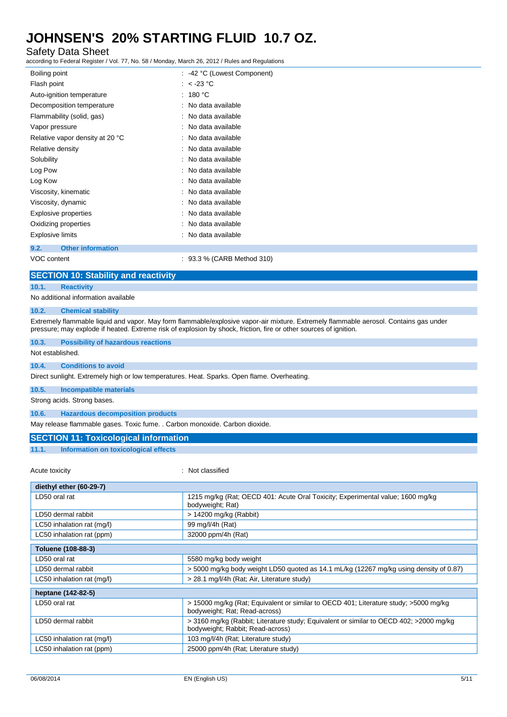### Safety Data Sheet

according to Federal Register / Vol. 77, No. 58 / Monday, March 26, 2012 / Rules and Regulations

| Boiling point                    | : -42 °C (Lowest Component) |
|----------------------------------|-----------------------------|
| Flash point                      | : $<$ -23 °C                |
| Auto-ignition temperature        | : 180 °C                    |
| Decomposition temperature        | : No data available         |
| Flammability (solid, gas)        | : No data available         |
| Vapor pressure                   | : No data available         |
| Relative vapor density at 20 °C  | No data available           |
| Relative density                 | No data available           |
| Solubility                       | : No data available         |
| Log Pow                          | No data available           |
| Log Kow                          | : No data available         |
| Viscosity, kinematic             | : No data available         |
| Viscosity, dynamic               | No data available           |
| Explosive properties             | No data available           |
| Oxidizing properties             | No data available           |
| <b>Explosive limits</b>          | No data available           |
| <b>Other information</b><br>9.2. |                             |

VOC content : 93.3 % (CARB Method 310)

#### **SECTION 10: Stability and reactivity**

#### **10.1. Reactivity**

No additional information available

#### **10.2. Chemical stability**

Extremely flammable liquid and vapor. May form flammable/explosive vapor-air mixture. Extremely flammable aerosol. Contains gas under pressure; may explode if heated. Extreme risk of explosion by shock, friction, fire or other sources of ignition.

#### **10.3. Possibility of hazardous reactions**

Not established.

#### **10.4. Conditions to avoid**

Direct sunlight. Extremely high or low temperatures. Heat. Sparks. Open flame. Overheating.

**10.5. Incompatible materials**

Strong acids. Strong bases.

**10.6. Hazardous decomposition products**

May release flammable gases. Toxic fume. . Carbon monoxide. Carbon dioxide.

#### **SECTION 11: Toxicological information**

#### **11.1. Information on toxicological effects**

#### Acute toxicity in the contract of the contract of the classified in the classified in the contract of the contract of the contract of the contract of the contract of the contract of the contract of the contract of the cont

| diethyl ether (60-29-7)    |                                                                                                                            |
|----------------------------|----------------------------------------------------------------------------------------------------------------------------|
| LD50 oral rat              | 1215 mg/kg (Rat; OECD 401: Acute Oral Toxicity; Experimental value; 1600 mg/kg<br>bodyweight; Rat)                         |
| LD50 dermal rabbit         | $> 14200$ mg/kg (Rabbit)                                                                                                   |
| LC50 inhalation rat (mg/l) | 99 mg/l/4h (Rat)                                                                                                           |
| LC50 inhalation rat (ppm)  | 32000 ppm/4h (Rat)                                                                                                         |
| <b>Toluene (108-88-3)</b>  |                                                                                                                            |
| LD50 oral rat              | 5580 mg/kg body weight                                                                                                     |
| LD50 dermal rabbit         | > 5000 mg/kg body weight LD50 quoted as 14.1 mL/kg (12267 mg/kg using density of 0.87)                                     |
| LC50 inhalation rat (mg/l) | > 28.1 mg/l/4h (Rat; Air, Literature study)                                                                                |
| heptane (142-82-5)         |                                                                                                                            |
| LD50 oral rat              | > 15000 mg/kg (Rat; Equivalent or similar to OECD 401; Literature study; >5000 mg/kg<br>bodyweight; Rat; Read-across)      |
| LD50 dermal rabbit         | > 3160 mg/kg (Rabbit; Literature study; Equivalent or similar to OECD 402; >2000 mg/kg<br>bodyweight; Rabbit; Read-across) |
| LC50 inhalation rat (mg/l) | 103 mg/l/4h (Rat; Literature study)                                                                                        |
| LC50 inhalation rat (ppm)  | 25000 ppm/4h (Rat; Literature study)                                                                                       |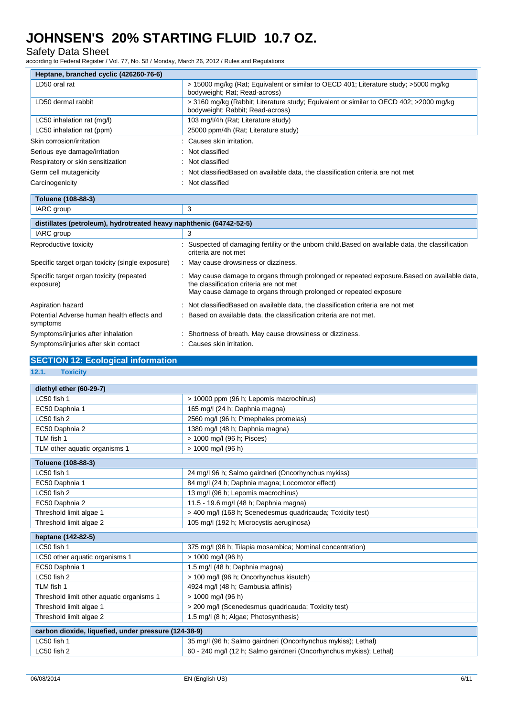### Safety Data Sheet

according to Federal Register / Vol. 77, No. 58 / Monday, March 26, 2012 / Rules and Regulations

| Heptane, branched cyclic (426260-76-6)                              |                                                                                                                                                                                                             |
|---------------------------------------------------------------------|-------------------------------------------------------------------------------------------------------------------------------------------------------------------------------------------------------------|
| LD50 oral rat                                                       | > 15000 mg/kg (Rat; Equivalent or similar to OECD 401; Literature study; >5000 mg/kg<br>bodyweight; Rat; Read-across)                                                                                       |
| LD50 dermal rabbit                                                  | > 3160 mg/kg (Rabbit; Literature study; Equivalent or similar to OECD 402; >2000 mg/kg<br>bodyweight; Rabbit; Read-across)                                                                                  |
| LC50 inhalation rat (mg/l)                                          | 103 mg/l/4h (Rat; Literature study)                                                                                                                                                                         |
| LC50 inhalation rat (ppm)                                           | 25000 ppm/4h (Rat: Literature study)                                                                                                                                                                        |
| Skin corrosion/irritation                                           | Causes skin irritation.                                                                                                                                                                                     |
| Serious eye damage/irritation                                       | Not classified                                                                                                                                                                                              |
| Respiratory or skin sensitization                                   | Not classified                                                                                                                                                                                              |
| Germ cell mutagenicity                                              | Not classified Based on available data, the classification criteria are not met                                                                                                                             |
| Carcinogenicity                                                     | Not classified                                                                                                                                                                                              |
| Toluene (108-88-3)                                                  |                                                                                                                                                                                                             |
| IARC group                                                          | 3                                                                                                                                                                                                           |
| distillates (petroleum), hydrotreated heavy naphthenic (64742-52-5) |                                                                                                                                                                                                             |
| IARC group                                                          | 3                                                                                                                                                                                                           |
| Reproductive toxicity                                               | Suspected of damaging fertility or the unborn child. Based on available data, the classification<br>criteria are not met                                                                                    |
| Specific target organ toxicity (single exposure)                    | : May cause drowsiness or dizziness.                                                                                                                                                                        |
| Specific target organ toxicity (repeated<br>exposure)               | May cause damage to organs through prolonged or repeated exposure. Based on available data,<br>the classification criteria are not met<br>May cause damage to organs through prolonged or repeated exposure |
| Aspiration hazard                                                   | : Not classifiedBased on available data, the classification criteria are not met                                                                                                                            |
| Potential Adverse human health effects and<br>symptoms              | Based on available data, the classification criteria are not met.                                                                                                                                           |
| Symptoms/injuries after inhalation                                  | Shortness of breath. May cause drowsiness or dizziness.                                                                                                                                                     |
| Symptoms/injuries after skin contact                                | Causes skin irritation.                                                                                                                                                                                     |

### **SECTION 12: Ecological information**

**12.1. Toxicity**

| diethyl ether (60-29-7)                              |                                                                     |
|------------------------------------------------------|---------------------------------------------------------------------|
| LC50 fish 1                                          | > 10000 ppm (96 h; Lepomis macrochirus)                             |
| EC50 Daphnia 1                                       | 165 mg/l (24 h; Daphnia magna)                                      |
| LC50 fish 2                                          | 2560 mg/l (96 h; Pimephales promelas)                               |
| EC50 Daphnia 2                                       | 1380 mg/l (48 h; Daphnia magna)                                     |
| TLM fish 1                                           | > 1000 mg/l (96 h; Pisces)                                          |
| TLM other aquatic organisms 1                        | > 1000 mg/l (96 h)                                                  |
| Toluene (108-88-3)                                   |                                                                     |
| LC50 fish 1                                          | 24 mg/l 96 h; Salmo gairdneri (Oncorhynchus mykiss)                 |
| EC50 Daphnia 1                                       | 84 mg/l (24 h; Daphnia magna; Locomotor effect)                     |
| LC50 fish 2                                          | 13 mg/l (96 h; Lepomis macrochirus)                                 |
| EC50 Daphnia 2                                       | 11.5 - 19.6 mg/l (48 h; Daphnia magna)                              |
| Threshold limit algae 1                              | > 400 mg/l (168 h; Scenedesmus quadricauda; Toxicity test)          |
| Threshold limit algae 2                              | 105 mg/l (192 h; Microcystis aeruginosa)                            |
| heptane (142-82-5)                                   |                                                                     |
| LC50 fish 1                                          | 375 mg/l (96 h; Tilapia mosambica; Nominal concentration)           |
| LC50 other aquatic organisms 1                       | > 1000 mg/l (96 h)                                                  |
| EC50 Daphnia 1                                       | 1.5 mg/l (48 h; Daphnia magna)                                      |
| LC50 fish 2                                          | > 100 mg/l (96 h; Oncorhynchus kisutch)                             |
| TLM fish 1                                           | 4924 mg/l (48 h; Gambusia affinis)                                  |
| Threshold limit other aquatic organisms 1            | > 1000 mg/l (96 h)                                                  |
| Threshold limit algae 1                              | > 200 mg/l (Scenedesmus quadricauda; Toxicity test)                 |
| Threshold limit algae 2                              | 1.5 mg/l (8 h; Algae; Photosynthesis)                               |
| carbon dioxide, liquefied, under pressure (124-38-9) |                                                                     |
| LC50 fish 1                                          | 35 mg/l (96 h; Salmo gairdneri (Oncorhynchus mykiss); Lethal)       |
| LC50 fish 2                                          | 60 - 240 mg/l (12 h; Salmo gairdneri (Oncorhynchus mykiss); Lethal) |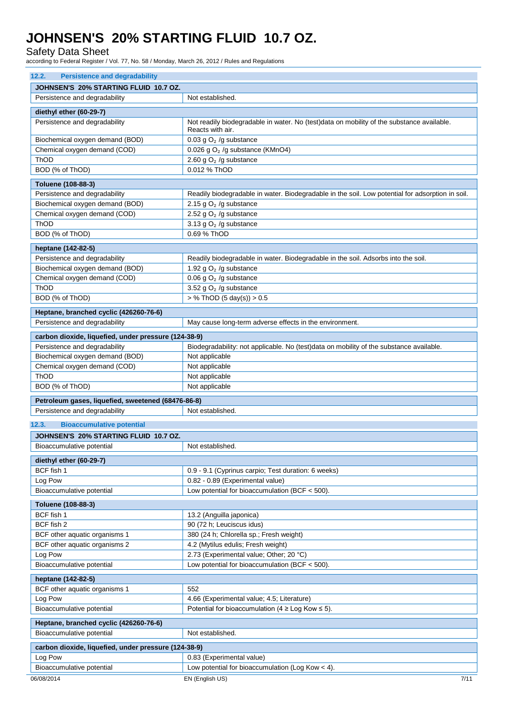Safety Data Sheet

according to Federal Register / Vol. 77, No. 58 / Monday, March 26, 2012 / Rules and Regulations

| <b>Persistence and degradability</b><br>12.2.                                       |                                                                                                               |
|-------------------------------------------------------------------------------------|---------------------------------------------------------------------------------------------------------------|
| JOHNSEN'S 20% STARTING FLUID 10.7 OZ.                                               |                                                                                                               |
| Persistence and degradability                                                       | Not established.                                                                                              |
| diethyl ether (60-29-7)                                                             |                                                                                                               |
| Persistence and degradability                                                       | Not readily biodegradable in water. No (test)data on mobility of the substance available.<br>Reacts with air. |
| Biochemical oxygen demand (BOD)                                                     | 0.03 g $O2$ /g substance                                                                                      |
| Chemical oxygen demand (COD)                                                        | 0.026 g $O2$ /g substance (KMnO4)                                                                             |
| ThOD                                                                                | 2.60 g $O2$ /g substance                                                                                      |
| BOD (% of ThOD)                                                                     | 0.012 % ThOD                                                                                                  |
| Toluene (108-88-3)                                                                  |                                                                                                               |
| Persistence and degradability                                                       | Readily biodegradable in water. Biodegradable in the soil. Low potential for adsorption in soil.              |
| Biochemical oxygen demand (BOD)                                                     | 2.15 g $O2$ /g substance                                                                                      |
| Chemical oxygen demand (COD)                                                        | 2.52 g $O2$ /g substance                                                                                      |
| ThOD                                                                                | 3.13 g $O2$ /g substance                                                                                      |
| BOD (% of ThOD)                                                                     | 0.69 % ThOD                                                                                                   |
| heptane (142-82-5)                                                                  |                                                                                                               |
| Persistence and degradability                                                       | Readily biodegradable in water. Biodegradable in the soil. Adsorbs into the soil.                             |
| Biochemical oxygen demand (BOD)                                                     | 1.92 g $O2$ /g substance                                                                                      |
| Chemical oxygen demand (COD)                                                        | 0.06 g $O2$ /g substance                                                                                      |
| ThOD                                                                                | 3.52 g $O2$ /g substance                                                                                      |
| BOD (% of ThOD)                                                                     | $>$ % ThOD (5 day(s)) $>$ 0.5                                                                                 |
| Heptane, branched cyclic (426260-76-6)                                              |                                                                                                               |
| Persistence and degradability                                                       | May cause long-term adverse effects in the environment.                                                       |
| carbon dioxide, liquefied, under pressure (124-38-9)                                |                                                                                                               |
| Persistence and degradability                                                       | Biodegradability: not applicable. No (test)data on mobility of the substance available.                       |
| Biochemical oxygen demand (BOD)                                                     | Not applicable                                                                                                |
| Chemical oxygen demand (COD)                                                        | Not applicable                                                                                                |
| ThOD                                                                                | Not applicable                                                                                                |
| BOD (% of ThOD)                                                                     | Not applicable                                                                                                |
|                                                                                     |                                                                                                               |
| Petroleum gases, liquefied, sweetened (68476-86-8)<br>Persistence and degradability | Not established.                                                                                              |
|                                                                                     |                                                                                                               |
| <b>Bioaccumulative potential</b><br>12.3.                                           |                                                                                                               |
| JOHNSEN'S 20% STARTING FLUID 10.7 OZ.                                               |                                                                                                               |
| Bioaccumulative potential                                                           | Not established.                                                                                              |
| diethyl ether (60-29-7)                                                             |                                                                                                               |
| BCF fish 1                                                                          | 0.9 - 9.1 (Cyprinus carpio; Test duration: 6 weeks)                                                           |
| Log Pow                                                                             | 0.82 - 0.89 (Experimental value)                                                                              |
| Bioaccumulative potential                                                           | Low potential for bioaccumulation (BCF $<$ 500).                                                              |
| Toluene (108-88-3)                                                                  |                                                                                                               |
| BCF fish 1                                                                          | 13.2 (Anguilla japonica)                                                                                      |
| BCF fish 2                                                                          | 90 (72 h; Leuciscus idus)                                                                                     |
| BCF other aquatic organisms 1                                                       | 380 (24 h; Chlorella sp.; Fresh weight)                                                                       |
| BCF other aquatic organisms 2                                                       | 4.2 (Mytilus edulis; Fresh weight)                                                                            |
| Log Pow                                                                             | 2.73 (Experimental value; Other; 20 °C)                                                                       |
| Bioaccumulative potential                                                           | Low potential for bioaccumulation (BCF $<$ 500).                                                              |
| heptane (142-82-5)                                                                  |                                                                                                               |
| BCF other aquatic organisms 1                                                       | 552                                                                                                           |
| Log Pow                                                                             | 4.66 (Experimental value; 4.5; Literature)                                                                    |
| Bioaccumulative potential                                                           | Potential for bioaccumulation (4 $\geq$ Log Kow $\leq$ 5).                                                    |
| Heptane, branched cyclic (426260-76-6)                                              |                                                                                                               |
| Bioaccumulative potential                                                           | Not established.                                                                                              |
| carbon dioxide, liquefied, under pressure (124-38-9)                                |                                                                                                               |
| Log Pow                                                                             | 0.83 (Experimental value)                                                                                     |
| Bioaccumulative potential                                                           | Low potential for bioaccumulation (Log Kow $<$ 4).                                                            |
| 06/08/2014                                                                          | EN (English US)<br>7/11                                                                                       |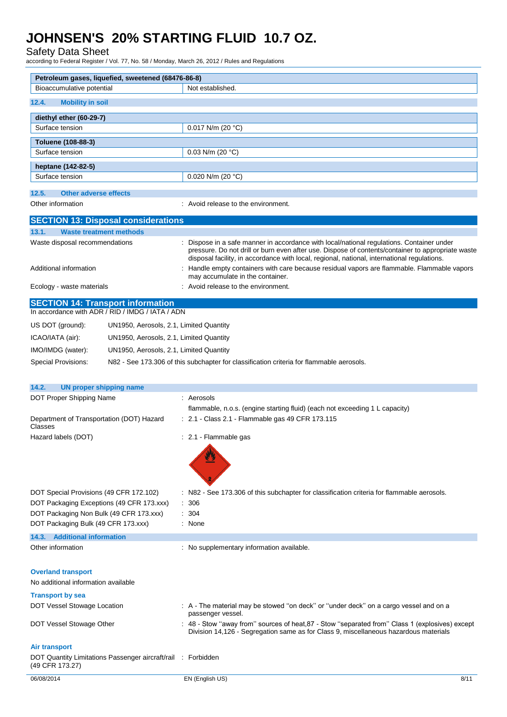Safety Data Sheet

according to Federal Register / Vol. 77, No. 58 / Monday, March 26, 2012 / Rules and Regulations

| Petroleum gases, liquefied, sweetened (68476-86-8)                                   |                                                                                                                                                                                                                                                                                               |
|--------------------------------------------------------------------------------------|-----------------------------------------------------------------------------------------------------------------------------------------------------------------------------------------------------------------------------------------------------------------------------------------------|
| Bioaccumulative potential                                                            | Not established.                                                                                                                                                                                                                                                                              |
| <b>Mobility in soil</b><br>12.4.                                                     |                                                                                                                                                                                                                                                                                               |
| diethyl ether (60-29-7)                                                              |                                                                                                                                                                                                                                                                                               |
| Surface tension                                                                      | 0.017 N/m (20 $^{\circ}$ C)                                                                                                                                                                                                                                                                   |
| Toluene (108-88-3)                                                                   |                                                                                                                                                                                                                                                                                               |
| Surface tension                                                                      | 0.03 N/m (20 $°C$ )                                                                                                                                                                                                                                                                           |
| heptane (142-82-5)                                                                   |                                                                                                                                                                                                                                                                                               |
| Surface tension                                                                      | 0.020 N/m (20 $°C$ )                                                                                                                                                                                                                                                                          |
| 12.5.<br><b>Other adverse effects</b>                                                |                                                                                                                                                                                                                                                                                               |
| Other information                                                                    | : Avoid release to the environment.                                                                                                                                                                                                                                                           |
|                                                                                      |                                                                                                                                                                                                                                                                                               |
| <b>SECTION 13: Disposal considerations</b>                                           |                                                                                                                                                                                                                                                                                               |
| 13.1.<br><b>Waste treatment methods</b>                                              |                                                                                                                                                                                                                                                                                               |
| Waste disposal recommendations                                                       | : Dispose in a safe manner in accordance with local/national regulations. Container under<br>pressure. Do not drill or burn even after use. Dispose of contents/container to appropriate waste<br>disposal facility, in accordance with local, regional, national, international regulations. |
| Additional information                                                               | : Handle empty containers with care because residual vapors are flammable. Flammable vapors<br>may accumulate in the container.                                                                                                                                                               |
| Ecology - waste materials                                                            | : Avoid release to the environment.                                                                                                                                                                                                                                                           |
| <b>SECTION 14: Transport information</b>                                             |                                                                                                                                                                                                                                                                                               |
| In accordance with ADR / RID / IMDG / IATA / ADN                                     |                                                                                                                                                                                                                                                                                               |
| US DOT (ground):<br>UN1950, Aerosols, 2.1, Limited Quantity                          |                                                                                                                                                                                                                                                                                               |
| UN1950, Aerosols, 2.1, Limited Quantity<br>ICAO/IATA (air):                          |                                                                                                                                                                                                                                                                                               |
| IMO/IMDG (water):<br>UN1950, Aerosols, 2.1, Limited Quantity                         |                                                                                                                                                                                                                                                                                               |
| Special Provisions:                                                                  | N82 - See 173.306 of this subchapter for classification criteria for flammable aerosols.                                                                                                                                                                                                      |
|                                                                                      |                                                                                                                                                                                                                                                                                               |
| 14.2.<br><b>UN proper shipping name</b>                                              |                                                                                                                                                                                                                                                                                               |
| DOT Proper Shipping Name                                                             | : Aerosols                                                                                                                                                                                                                                                                                    |
|                                                                                      | flammable, n.o.s. (engine starting fluid) (each not exceeding 1 L capacity)                                                                                                                                                                                                                   |
| Department of Transportation (DOT) Hazard<br>Classes                                 | : 2.1 - Class 2.1 - Flammable gas 49 CFR 173.115                                                                                                                                                                                                                                              |
| Hazard labels (DOT)                                                                  | : 2.1 - Flammable gas                                                                                                                                                                                                                                                                         |
|                                                                                      |                                                                                                                                                                                                                                                                                               |
|                                                                                      |                                                                                                                                                                                                                                                                                               |
|                                                                                      |                                                                                                                                                                                                                                                                                               |
| DOT Special Provisions (49 CFR 172.102)                                              | : N82 - See 173.306 of this subchapter for classification criteria for flammable aerosols.                                                                                                                                                                                                    |
| DOT Packaging Exceptions (49 CFR 173.xxx)<br>DOT Packaging Non Bulk (49 CFR 173.xxx) | 306<br>: 304                                                                                                                                                                                                                                                                                  |
| DOT Packaging Bulk (49 CFR 173.xxx)                                                  | : None                                                                                                                                                                                                                                                                                        |
| 14.3. Additional information                                                         |                                                                                                                                                                                                                                                                                               |
| Other information                                                                    | : No supplementary information available.                                                                                                                                                                                                                                                     |
|                                                                                      |                                                                                                                                                                                                                                                                                               |
| <b>Overland transport</b>                                                            |                                                                                                                                                                                                                                                                                               |
| No additional information available                                                  |                                                                                                                                                                                                                                                                                               |
| <b>Transport by sea</b>                                                              |                                                                                                                                                                                                                                                                                               |
| DOT Vessel Stowage Location                                                          | : A - The material may be stowed "on deck" or "under deck" on a cargo vessel and on a                                                                                                                                                                                                         |
|                                                                                      | passenger vessel.                                                                                                                                                                                                                                                                             |
| DOT Vessel Stowage Other                                                             | : 48 - Stow "away from" sources of heat, 87 - Stow "separated from" Class 1 (explosives) except<br>Division 14,126 - Segregation same as for Class 9, miscellaneous hazardous materials                                                                                                       |
| <b>Air transport</b>                                                                 |                                                                                                                                                                                                                                                                                               |
| DOT Quantity Limitations Passenger aircraft/rail : Forbidden<br>(49 CFR 173.27)      |                                                                                                                                                                                                                                                                                               |
| 06/08/2014                                                                           | EN (English US)<br>8/11                                                                                                                                                                                                                                                                       |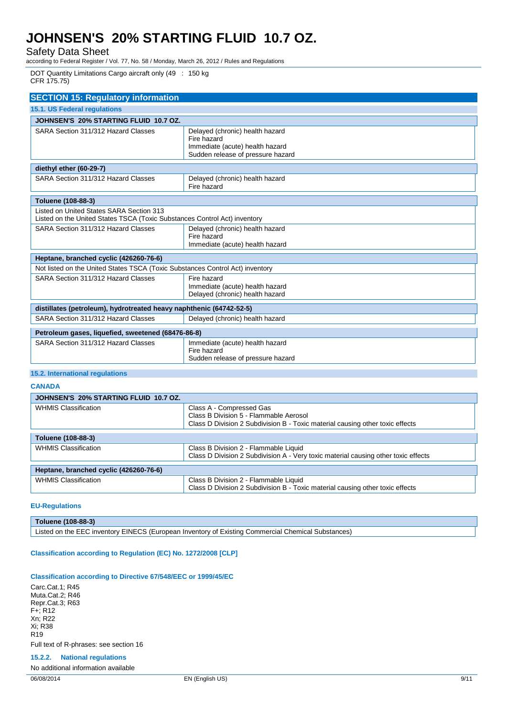Safety Data Sheet

according to Federal Register / Vol. 77, No. 58 / Monday, March 26, 2012 / Rules and Regulations

DOT Quantity Limitations Cargo aircraft only (49 : 150 kg CFR 175.75)

| <b>SECTION 15: Regulatory information</b>                                                                             |                                                                                                                        |  |
|-----------------------------------------------------------------------------------------------------------------------|------------------------------------------------------------------------------------------------------------------------|--|
| <b>15.1. US Federal regulations</b>                                                                                   |                                                                                                                        |  |
| JOHNSEN'S 20% STARTING FLUID 10.7 OZ.                                                                                 |                                                                                                                        |  |
| SARA Section 311/312 Hazard Classes                                                                                   | Delayed (chronic) health hazard<br>Fire hazard<br>Immediate (acute) health hazard<br>Sudden release of pressure hazard |  |
| diethyl ether (60-29-7)                                                                                               |                                                                                                                        |  |
| SARA Section 311/312 Hazard Classes                                                                                   | Delayed (chronic) health hazard<br>Fire hazard                                                                         |  |
| Toluene (108-88-3)                                                                                                    |                                                                                                                        |  |
| Listed on United States SARA Section 313<br>Listed on the United States TSCA (Toxic Substances Control Act) inventory |                                                                                                                        |  |
| SARA Section 311/312 Hazard Classes                                                                                   | Delayed (chronic) health hazard<br>Fire hazard<br>Immediate (acute) health hazard                                      |  |
| Heptane, branched cyclic (426260-76-6)                                                                                |                                                                                                                        |  |
| Not listed on the United States TSCA (Toxic Substances Control Act) inventory                                         |                                                                                                                        |  |
| SARA Section 311/312 Hazard Classes                                                                                   | Fire hazard<br>Immediate (acute) health hazard<br>Delayed (chronic) health hazard                                      |  |
| distillates (petroleum), hydrotreated heavy naphthenic (64742-52-5)                                                   |                                                                                                                        |  |
| SARA Section 311/312 Hazard Classes                                                                                   | Delayed (chronic) health hazard                                                                                        |  |
| Petroleum gases, liquefied, sweetened (68476-86-8)                                                                    |                                                                                                                        |  |
| SARA Section 311/312 Hazard Classes                                                                                   | Immediate (acute) health hazard<br>Fire hazard<br>Sudden release of pressure hazard                                    |  |

#### **15.2. International regulations**

**CANADA**

| JOHNSEN'S 20% STARTING FLUID 10.7 OZ.  |                                                                                    |
|----------------------------------------|------------------------------------------------------------------------------------|
| <b>WHMIS Classification</b>            | Class A - Compressed Gas                                                           |
|                                        | Class B Division 5 - Flammable Aerosol                                             |
|                                        | Class D Division 2 Subdivision B - Toxic material causing other toxic effects      |
| Toluene (108-88-3)                     |                                                                                    |
| <b>WHMIS Classification</b>            | Class B Division 2 - Flammable Liquid                                              |
|                                        | Class D Division 2 Subdivision A - Very toxic material causing other toxic effects |
| Heptane, branched cyclic (426260-76-6) |                                                                                    |
| <b>WHMIS Classification</b>            | Class B Division 2 - Flammable Liquid                                              |
|                                        | Class D Division 2 Subdivision B - Toxic material causing other toxic effects      |
|                                        |                                                                                    |

#### **EU-Regulations**

**Toluene (108-88-3)**

Listed on the EEC inventory EINECS (European Inventory of Existing Commercial Chemical Substances)

#### **Classification according to Regulation (EC) No. 1272/2008 [CLP]**

#### **Classification according to Directive 67/548/EEC or 1999/45/EC**

Carc.Cat.1; R45 Muta.Cat.2; R46 Repr.Cat.3; R63 F+; R12 Xn; R22 Xi; R38 R<sub>19</sub> Full text of R-phrases: see section 16

**15.2.2. National regulations**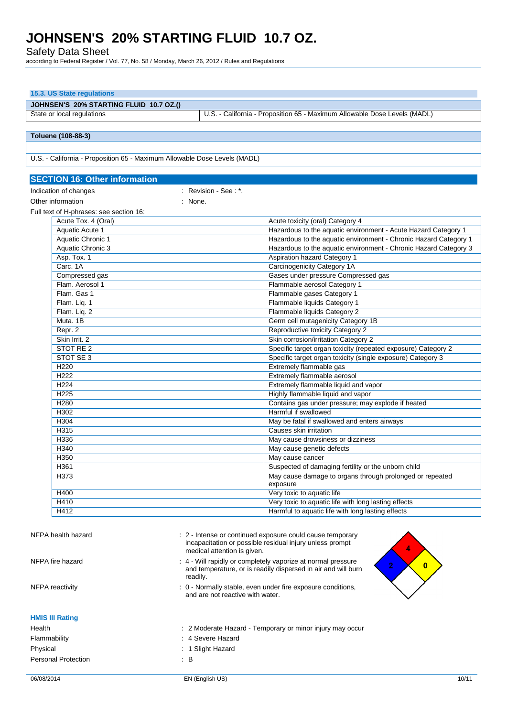Safety Data Sheet

**15.3. US State regulations**

according to Federal Register / Vol. 77, No. 58 / Monday, March 26, 2012 / Rules and Regulations

| JOHNSEN'S 20% STARTING FLUID 10.7 OZ.()                                   |                                                                                                                                                                |
|---------------------------------------------------------------------------|----------------------------------------------------------------------------------------------------------------------------------------------------------------|
| State or local regulations                                                | U.S. - California - Proposition 65 - Maximum Allowable Dose Levels (MADL)                                                                                      |
|                                                                           |                                                                                                                                                                |
| Toluene (108-88-3)                                                        |                                                                                                                                                                |
|                                                                           |                                                                                                                                                                |
| U.S. - California - Proposition 65 - Maximum Allowable Dose Levels (MADL) |                                                                                                                                                                |
| <b>SECTION 16: Other information</b>                                      |                                                                                                                                                                |
| Indication of changes                                                     | : Revision - See : *.                                                                                                                                          |
| Other information                                                         | : None.                                                                                                                                                        |
| Full text of H-phrases: see section 16:                                   |                                                                                                                                                                |
| Acute Tox. 4 (Oral)                                                       | Acute toxicity (oral) Category 4                                                                                                                               |
| <b>Aquatic Acute 1</b>                                                    | Hazardous to the aquatic environment - Acute Hazard Category 1                                                                                                 |
| <b>Aquatic Chronic 1</b>                                                  | Hazardous to the aquatic environment - Chronic Hazard Category 1                                                                                               |
| <b>Aquatic Chronic 3</b>                                                  | Hazardous to the aquatic environment - Chronic Hazard Category 3                                                                                               |
| Asp. Tox. 1                                                               | <b>Aspiration hazard Category 1</b>                                                                                                                            |
| Carc. 1A                                                                  | <b>Carcinogenicity Category 1A</b>                                                                                                                             |
| Compressed gas                                                            | Gases under pressure Compressed gas                                                                                                                            |
| Flam. Aerosol 1<br>Flam. Gas 1                                            | Flammable aerosol Category 1<br>Flammable gases Category 1                                                                                                     |
| Flam. Liq. 1                                                              | Flammable liquids Category 1                                                                                                                                   |
| Flam. Liq. 2                                                              | Flammable liquids Category 2                                                                                                                                   |
| Muta, 1B                                                                  | Germ cell mutagenicity Category 1B                                                                                                                             |
| Repr. 2                                                                   | Reproductive toxicity Category 2                                                                                                                               |
| Skin Irrit. 2                                                             | Skin corrosion/irritation Category 2                                                                                                                           |
| STOT RE <sub>2</sub>                                                      | Specific target organ toxicity (repeated exposure) Category 2                                                                                                  |
| STOT SE 3                                                                 | Specific target organ toxicity (single exposure) Category 3                                                                                                    |
| H <sub>220</sub>                                                          | Extremely flammable gas                                                                                                                                        |
| H <sub>222</sub>                                                          | Extremely flammable aerosol                                                                                                                                    |
| H <sub>224</sub>                                                          | Extremely flammable liquid and vapor                                                                                                                           |
| H <sub>225</sub><br>H <sub>280</sub>                                      | Highly flammable liquid and vapor<br>Contains gas under pressure; may explode if heated                                                                        |
| H302                                                                      | Harmful if swallowed                                                                                                                                           |
| H304                                                                      | May be fatal if swallowed and enters airways                                                                                                                   |
| H315                                                                      | Causes skin irritation                                                                                                                                         |
| H336                                                                      | May cause drowsiness or dizziness                                                                                                                              |
| H340                                                                      | May cause genetic defects                                                                                                                                      |
| H350                                                                      | May cause cancer                                                                                                                                               |
| H361                                                                      | Suspected of damaging fertility or the unborn child                                                                                                            |
| H373                                                                      | May cause damage to organs through prolonged or repeated<br>exposure                                                                                           |
| H400                                                                      | Very toxic to aquatic life                                                                                                                                     |
| H410                                                                      | Very toxic to aquatic life with long lasting effects                                                                                                           |
| H412                                                                      | Harmful to aquatic life with long lasting effects                                                                                                              |
| NFPA health hazard                                                        | : 2 - Intense or continued exposure could cause temporary<br>incapacitation or possible residual injury unless prompt<br>medical attention is given.           |
| NFPA fire hazard                                                          | : 4 - Will rapidly or completely vaporize at normal pressure<br>$\mathbf{0}$<br>2<br>and temperature, or is readily dispersed in air and will burn<br>readily. |
| <b>NFPA</b> reactivity                                                    | : 0 - Normally stable, even under fire exposure conditions,<br>and are not reactive with water.                                                                |
| <b>HMIS III Rating</b>                                                    |                                                                                                                                                                |
| Health                                                                    | : 2 Moderate Hazard - Temporary or minor injury may occur                                                                                                      |
| Flammability                                                              | 4 Severe Hazard                                                                                                                                                |
| Physical                                                                  | : 1 Slight Hazard                                                                                                                                              |
| $\therefore$ B<br><b>Personal Protection</b>                              |                                                                                                                                                                |
| 06/08/2014                                                                | 10/11<br>EN (English US)                                                                                                                                       |